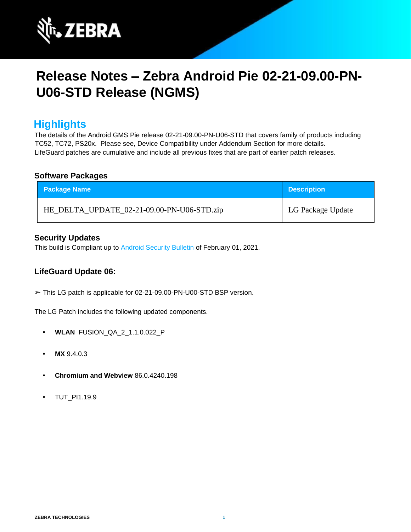

# **Release Notes – Zebra Android Pie 02-21-09.00-PN-U06-STD Release (NGMS)**

### **Highlights**

The details of the Android GMS Pie release 02-21-09.00-PN-U06-STD that covers family of products including TC52, TC72, PS20x. Please see, Device Compatibility under Addendum Section for more details. LifeGuard patches are cumulative and include all previous fixes that are part of earlier patch releases.

#### **Software Packages**

| Package Name                               | <b>Description</b> |
|--------------------------------------------|--------------------|
| HE_DELTA_UPDATE_02-21-09.00-PN-U06-STD.zip | LG Package Update  |

#### **Security Updates**

This build is Compliant up to [Android Security Bulletin](https://source.android.com/security/bulletin/) [of](https://source.android.com/security/bulletin/) February 01, 2021.

### **LifeGuard Update 06:**

➢ This LG patch is applicable for 02-21-09.00-PN-U00-STD BSP version.

The LG Patch includes the following updated components.

- **• WLAN** FUSION\_QA\_2\_1.1.0.022\_P
- **• MX** 9.4.0.3
- **• Chromium and Webview** 86.0.4240.198
- **•** TUT\_PI1.19.9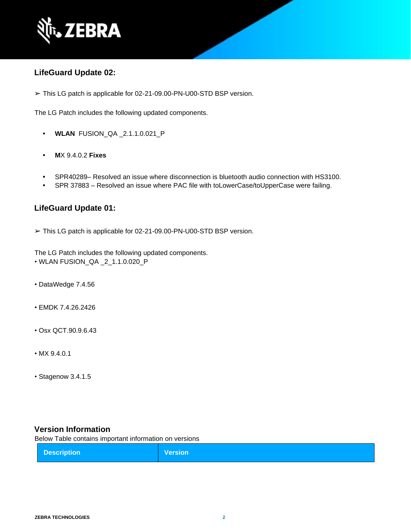

### **LifeGuard Update 02:**

➢ This LG patch is applicable for 02-21-09.00-PN-U00-STD BSP version.

The LG Patch includes the following updated components.

- **• WLAN** FUSION\_QA \_2.1.1.0.021\_P
- **• M**X 9.4.0.2 **Fixes**
- **•** SPR40289– Resolved an issue where disconnection is bluetooth audio connection with HS3100.
- **•** SPR 37883 Resolved an issue where PAC file with toLowerCase/toUpperCase were failing.

### **LifeGuard Update 01:**

➢ This LG patch is applicable for 02-21-09.00-PN-U00-STD BSP version.

The LG Patch includes the following updated components.

- WLAN FUSION\_QA \_2\_1.1.0.020\_P
- DataWedge 7.4.56
- EMDK 7.4.26.2426
- Osx QCT.90.9.6.43
- MX 9.4.0.1
- Stagenow 3.4.1.5

#### **Version Information**

Below Table contains important information on versions

| <b>Description</b> | <b>Version</b> |
|--------------------|----------------|
|--------------------|----------------|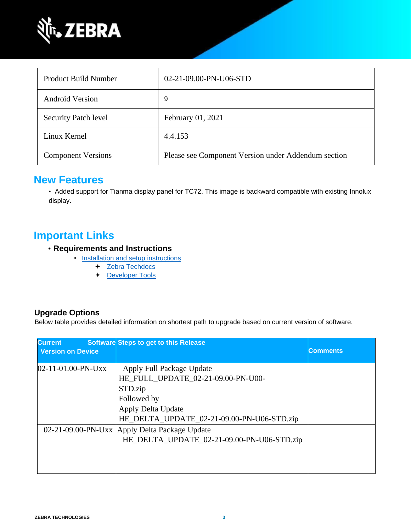

| Product Build Number        | 02-21-09.00-PN-U06-STD                              |
|-----------------------------|-----------------------------------------------------|
| <b>Android Version</b>      | 9                                                   |
| <b>Security Patch level</b> | February 01, 2021                                   |
| Linux Kernel                | 4.4.153                                             |
| <b>Component Versions</b>   | Please see Component Version under Addendum section |

### **New Features**

• Added support for Tianma display panel for TC72. This image is backward compatible with existing Innolux display.

### **Important Links**

- **Requirements and Instructions** 
	- [Installation and setup instructions](https://www.zebra.com/content/dam/zebra_new_ia/en-us/software/operating-system/helios/pie-os-update-instructions.pdf) 
		- + Zebra Techdocs
		- [Developer Tools](https://developer.zebra.com/)

### **Upgrade Options**

Below table provides detailed information on shortest path to upgrade based on current version of software.

| <b>Current</b>           | <b>Software Steps to get to this Release</b>                                                                                                                  |                 |
|--------------------------|---------------------------------------------------------------------------------------------------------------------------------------------------------------|-----------------|
| <b>Version on Device</b> |                                                                                                                                                               | <b>Comments</b> |
| $02-11-01.00-PN-UXX$     | Apply Full Package Update<br>HE_FULL_UPDATE_02-21-09.00-PN-U00-<br>STD.zip<br>Followed by<br>Apply Delta Update<br>HE_DELTA_UPDATE_02-21-09.00-PN-U06-STD.zip |                 |
|                          | 02-21-09.00-PN-Uxx Apply Delta Package Update<br>HE_DELTA_UPDATE_02-21-09.00-PN-U06-STD.zip                                                                   |                 |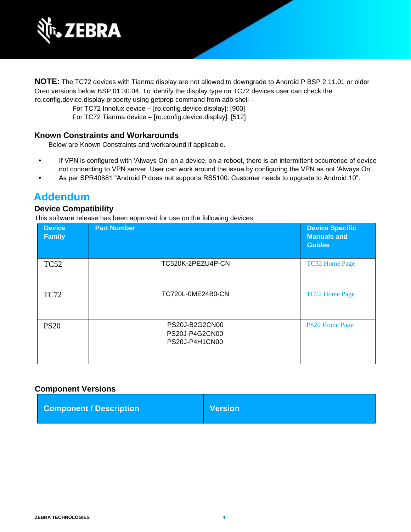

**NOTE:** The TC72 devices with Tianma display are not allowed to downgrade to Android P BSP 2.11.01 or older Oreo versions below BSP 01.30.04. To identify the display type on TC72 devices user can check the ro.config.device.display property using getprop command from adb shell –

For TC72 Innolux device – [ro.config.device.display]: [900] For TC72 Tianma device – [ro.config.device.display]: [512]

#### **Known Constraints and Workarounds**

Below are Known Constraints and workaround if applicable.

- **•** If VPN is configured with 'Always On' on a device, on a reboot, there is an intermittent occurrence of device not connecting to VPN server. User can work around the issue by configuring the VPN as not 'Always On'.
- **•** As per SPR40881 "Android P does not supports RS5100. Customer needs to upgrade to Android 10".

### **Addendum**

### **Device Compatibility**

This software release has been approved for use on the following devices.

| <b>Device</b><br><b>Family</b> | <b>Part Number</b>                                 | <b>Device Specific</b><br><b>Manuals and</b><br><b>Guides</b> |
|--------------------------------|----------------------------------------------------|---------------------------------------------------------------|
| <b>TC52</b>                    | TC520K-2PEZU4P-CN                                  | <b>TC52 Home Page</b>                                         |
| <b>TC72</b>                    | TC720L-0ME24B0-CN                                  | <b>TC72 Home Page</b>                                         |
| <b>PS20</b>                    | PS20J-B2G2CN00<br>PS20J-P4G2CN00<br>PS20J-P4H1CN00 | <b>PS20 Home Page</b>                                         |

#### **Component Versions**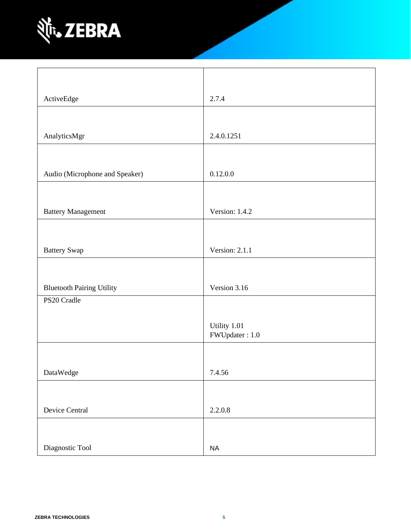

| ActiveEdge                       | 2.7.4                          |
|----------------------------------|--------------------------------|
|                                  |                                |
| AnalyticsMgr                     | 2.4.0.1251                     |
|                                  |                                |
|                                  |                                |
| Audio (Microphone and Speaker)   | 0.12.0.0                       |
|                                  |                                |
| <b>Battery Management</b>        | Version: 1.4.2                 |
|                                  |                                |
| <b>Battery Swap</b>              | Version: 2.1.1                 |
|                                  |                                |
|                                  |                                |
| <b>Bluetooth Pairing Utility</b> | Version 3.16                   |
| PS20 Cradle                      |                                |
|                                  |                                |
|                                  | Utility 1.01<br>FWUpdater: 1.0 |
|                                  |                                |
| DataWedge                        | 7.4.56                         |
|                                  |                                |
|                                  |                                |
| Device Central                   | 2.2.0.8                        |
|                                  |                                |
| Diagnostic Tool                  | $\sf NA$                       |
|                                  |                                |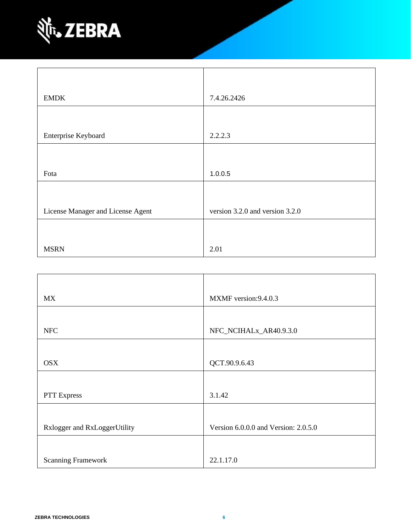

| <b>EMDK</b>                       | 7.4.26.2426                     |
|-----------------------------------|---------------------------------|
|                                   |                                 |
| Enterprise Keyboard               | 2.2.2.3                         |
|                                   |                                 |
| Fota                              | 1.0.0.5                         |
|                                   |                                 |
| License Manager and License Agent | version 3.2.0 and version 3.2.0 |
|                                   |                                 |
| <b>MSRN</b>                       | 2.01                            |

| <b>MX</b>                    | MXMF version: 9.4.0.3                |
|------------------------------|--------------------------------------|
|                              |                                      |
| <b>NFC</b>                   | NFC_NCIHALx_AR40.9.3.0               |
|                              |                                      |
| <b>OSX</b>                   | QCT.90.9.6.43                        |
|                              |                                      |
| PTT Express                  | 3.1.42                               |
|                              |                                      |
| Rxlogger and RxLoggerUtility | Version 6.0.0.0 and Version: 2.0.5.0 |
|                              |                                      |
| <b>Scanning Framework</b>    | 22.1.17.0                            |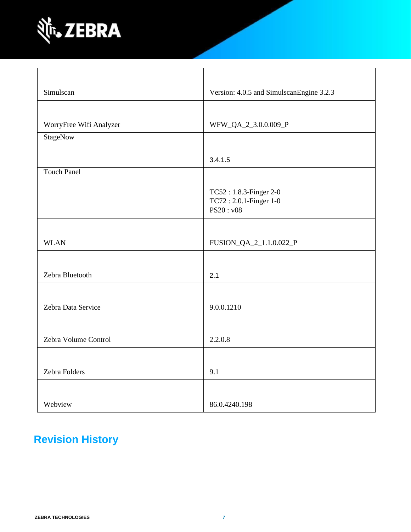

| Simulscan               | Version: 4.0.5 and SimulscanEngine 3.2.3                      |
|-------------------------|---------------------------------------------------------------|
|                         |                                                               |
| WorryFree Wifi Analyzer | WFW_QA_2_3.0.0.009_P                                          |
| StageNow                |                                                               |
|                         | 3.4.1.5                                                       |
| <b>Touch Panel</b>      |                                                               |
|                         | TC52: 1.8.3-Finger 2-0<br>TC72: 2.0.1-Finger 1-0<br>PS20: v08 |
|                         |                                                               |
| <b>WLAN</b>             | FUSION_QA_2_1.1.0.022_P                                       |
|                         |                                                               |
| Zebra Bluetooth         | 2.1                                                           |
|                         |                                                               |
| Zebra Data Service      | 9.0.0.1210                                                    |
|                         |                                                               |
| Zebra Volume Control    | 2.2.0.8                                                       |
|                         |                                                               |
| Zebra Folders           | 9.1                                                           |
|                         |                                                               |
| Webview                 | 86.0.4240.198                                                 |

## **Revision History**